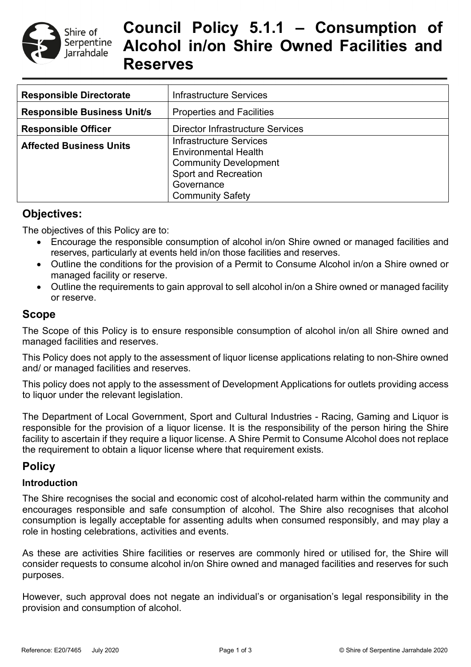

# **Council Policy 5.1.1 – Consumption of Alcohol in/on Shire Owned Facilities and Reserves**

| <b>Responsible Directorate</b>     | <b>Infrastructure Services</b>                                                                                                                                        |
|------------------------------------|-----------------------------------------------------------------------------------------------------------------------------------------------------------------------|
| <b>Responsible Business Unit/s</b> | <b>Properties and Facilities</b>                                                                                                                                      |
| <b>Responsible Officer</b>         | <b>Director Infrastructure Services</b>                                                                                                                               |
| <b>Affected Business Units</b>     | <b>Infrastructure Services</b><br><b>Environmental Health</b><br><b>Community Development</b><br><b>Sport and Recreation</b><br>Governance<br><b>Community Safety</b> |

## **Objectives:**

The objectives of this Policy are to:

- Encourage the responsible consumption of alcohol in/on Shire owned or managed facilities and reserves, particularly at events held in/on those facilities and reserves.
- Outline the conditions for the provision of a Permit to Consume Alcohol in/on a Shire owned or managed facility or reserve.
- Outline the requirements to gain approval to sell alcohol in/on a Shire owned or managed facility or reserve.

# **Scope**

The Scope of this Policy is to ensure responsible consumption of alcohol in/on all Shire owned and managed facilities and reserves.

This Policy does not apply to the assessment of liquor license applications relating to non-Shire owned and/ or managed facilities and reserves.

This policy does not apply to the assessment of Development Applications for outlets providing access to liquor under the relevant legislation.

The Department of Local Government, Sport and Cultural Industries - Racing, Gaming and Liquor is responsible for the provision of a liquor license. It is the responsibility of the person hiring the Shire facility to ascertain if they require a liquor license. A Shire Permit to Consume Alcohol does not replace the requirement to obtain a liquor license where that requirement exists.

# **Policy**

### **Introduction**

The Shire recognises the social and economic cost of alcohol-related harm within the community and encourages responsible and safe consumption of alcohol. The Shire also recognises that alcohol consumption is legally acceptable for assenting adults when consumed responsibly, and may play a role in hosting celebrations, activities and events.

As these are activities Shire facilities or reserves are commonly hired or utilised for, the Shire will consider requests to consume alcohol in/on Shire owned and managed facilities and reserves for such purposes.

However, such approval does not negate an individual's or organisation's legal responsibility in the provision and consumption of alcohol.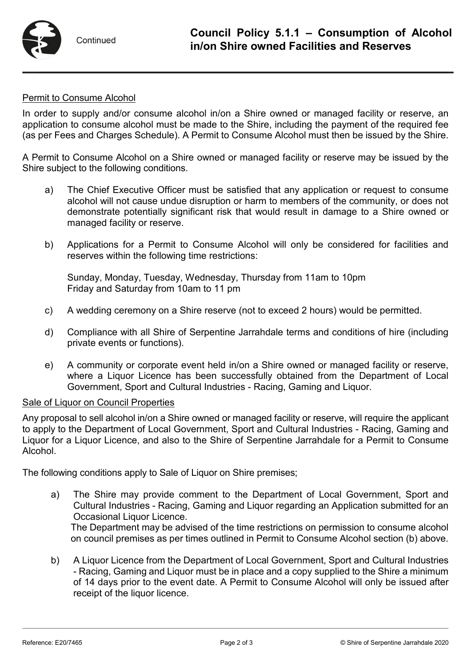

#### Permit to Consume Alcohol

In order to supply and/or consume alcohol in/on a Shire owned or managed facility or reserve, an application to consume alcohol must be made to the Shire, including the payment of the required fee (as per Fees and Charges Schedule). A Permit to Consume Alcohol must then be issued by the Shire.

A Permit to Consume Alcohol on a Shire owned or managed facility or reserve may be issued by the Shire subject to the following conditions.

- a) The Chief Executive Officer must be satisfied that any application or request to consume alcohol will not cause undue disruption or harm to members of the community, or does not demonstrate potentially significant risk that would result in damage to a Shire owned or managed facility or reserve.
- b) Applications for a Permit to Consume Alcohol will only be considered for facilities and reserves within the following time restrictions:

Sunday, Monday, Tuesday, Wednesday, Thursday from 11am to 10pm Friday and Saturday from 10am to 11 pm

- c) A wedding ceremony on a Shire reserve (not to exceed 2 hours) would be permitted.
- d) Compliance with all Shire of Serpentine Jarrahdale terms and conditions of hire (including private events or functions).
- e) A community or corporate event held in/on a Shire owned or managed facility or reserve, where a Liquor Licence has been successfully obtained from the Department of Local Government, Sport and Cultural Industries - Racing, Gaming and Liquor.

#### Sale of Liquor on Council Properties

Any proposal to sell alcohol in/on a Shire owned or managed facility or reserve, will require the applicant to apply to the Department of Local Government, Sport and Cultural Industries - Racing, Gaming and Liquor for a Liquor Licence, and also to the Shire of Serpentine Jarrahdale for a Permit to Consume Alcohol.

The following conditions apply to Sale of Liquor on Shire premises;

a) The Shire may provide comment to the Department of Local Government, Sport and Cultural Industries - Racing, Gaming and Liquor regarding an Application submitted for an Occasional Liquor Licence.

The Department may be advised of the time restrictions on permission to consume alcohol on council premises as per times outlined in Permit to Consume Alcohol section (b) above.

b) A Liquor Licence from the Department of Local Government, Sport and Cultural Industries - Racing, Gaming and Liquor must be in place and a copy supplied to the Shire a minimum of 14 days prior to the event date. A Permit to Consume Alcohol will only be issued after receipt of the liquor licence.